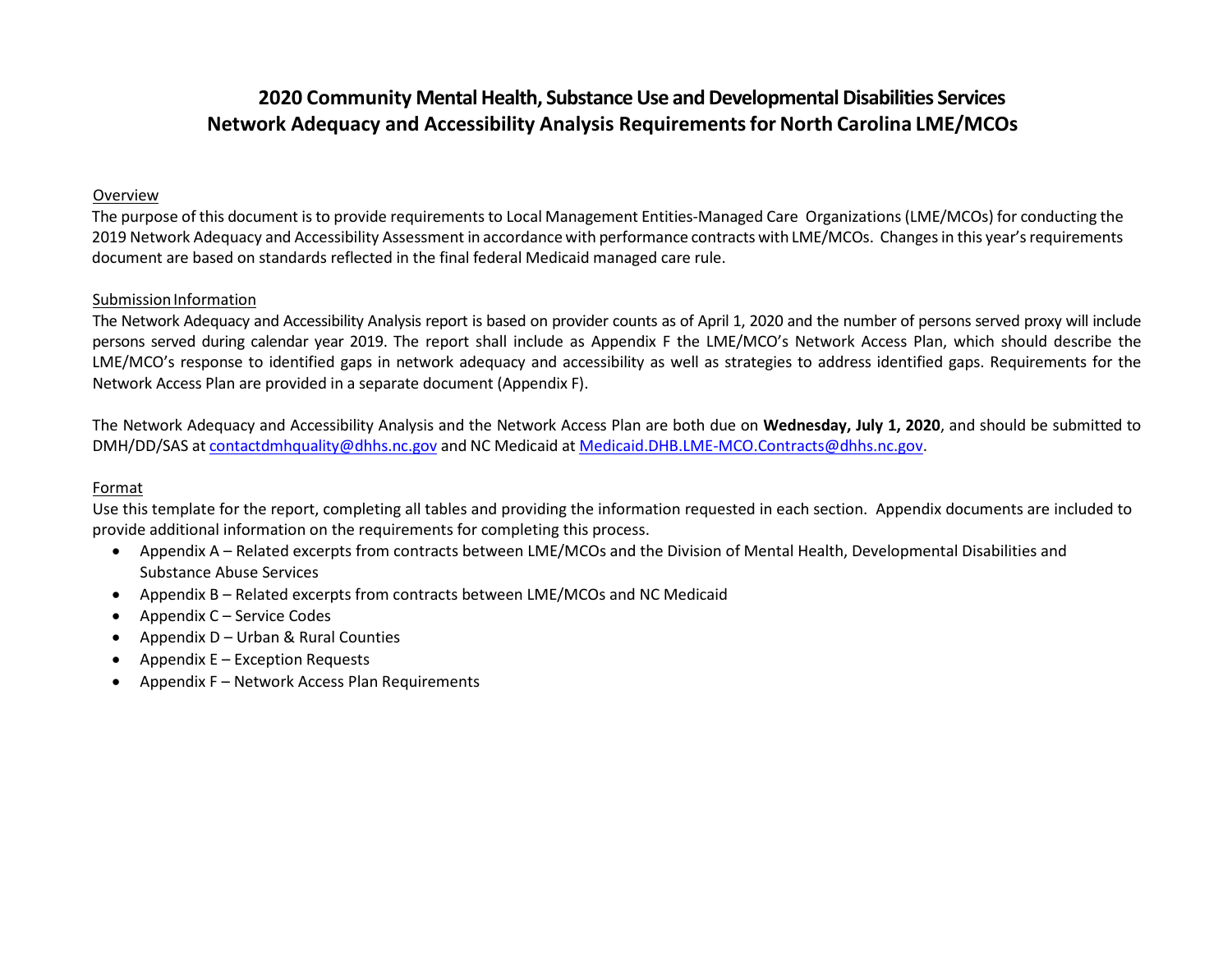# **2020 Community Mental Health, Substance Use and Developmental Disabilities Services Network Adequacy and Accessibility Analysis Requirementsfor North Carolina LME/MCOs**

#### Overview

The purpose of this document is to provide requirements to Local Management Entities-Managed Care Organizations (LME/MCOs) for conducting the 2019 Network Adequacy and Accessibility Assessment in accordance with performance contracts with LME/MCOs. Changes in this year's requirements document are based on standards reflected in the final federal Medicaid managed care rule.

### Submission Information

The Network Adequacy and Accessibility Analysis report is based on provider counts as of April 1, 2020 and the number of persons served proxy will include persons served during calendar year 2019. The report shall include as Appendix F the LME/MCO's Network Access Plan, which should describe the LME/MCO's response to identified gaps in network adequacy and accessibility as well as strategies to address identified gaps. Requirements for the Network Access Plan are provided in a separate document (Appendix F).

The Network Adequacy and Accessibility Analysis and the Network Access Plan are both due on **Wednesday, July 1, 2020**, and should be submitted to DMH/DD/SAS at [contactdmhquality@dhhs.nc.gov](mailto:contactdmhquality@dhhs.nc.gov) and NC Medicaid a[t Medicaid.DHB.LME-MCO.Contracts@dhhs.nc.gov.](mailto:Medicaid.DHB.LME-MCO.Contracts@dhhs.nc.gov)

### Format

Use this template for the report, completing all tables and providing the information requested in each section. Appendix documents are included to provide additional information on the requirements for completing this process.

- Appendix A Related excerpts from contracts between LME/MCOs and the Division of Mental Health, Developmental Disabilities and Substance Abuse Services
- Appendix B Related excerpts from contracts between LME/MCOs and NC Medicaid
- Appendix C Service Codes
- Appendix D Urban & Rural Counties
- Appendix  $E -$  Exception Requests
- Appendix F Network Access Plan Requirements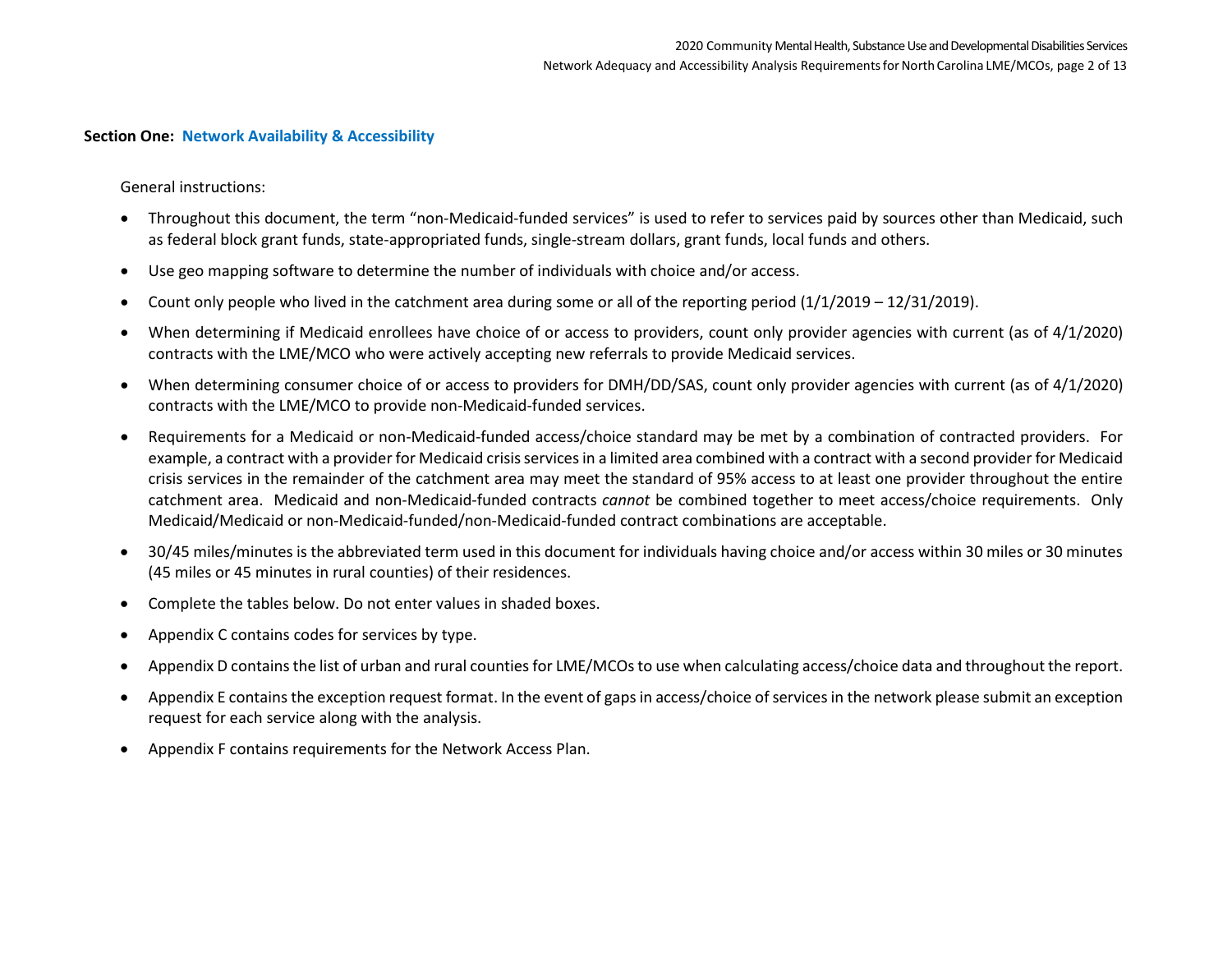#### **Section One: Network Availability & Accessibility**

General instructions:

- Throughout this document, the term "non-Medicaid-funded services" is used to refer to services paid by sources other than Medicaid, such as federal block grant funds, state-appropriated funds, single-stream dollars, grant funds, local funds and others.
- Use geo mapping software to determine the number of individuals with choice and/or access.
- Count only people who lived in the catchment area during some or all of the reporting period (1/1/2019 12/31/2019).
- When determining if Medicaid enrollees have choice of or access to providers, count only provider agencies with current (as of 4/1/2020) contracts with the LME/MCO who were actively accepting new referrals to provide Medicaid services.
- When determining consumer choice of or access to providers for DMH/DD/SAS, count only provider agencies with current (as of 4/1/2020) contracts with the LME/MCO to provide non-Medicaid-funded services.
- Requirements for a Medicaid or non-Medicaid-funded access/choice standard may be met by a combination of contracted providers. For example, a contract with a provider for Medicaid crisis services in a limited area combined with a contract with a second provider for Medicaid crisis services in the remainder of the catchment area may meet the standard of 95% access to at least one provider throughout the entire catchment area. Medicaid and non-Medicaid-funded contracts *cannot* be combined together to meet access/choice requirements. Only Medicaid/Medicaid or non-Medicaid-funded/non-Medicaid-funded contract combinations are acceptable.
- 30/45 miles/minutes is the abbreviated term used in this document for individuals having choice and/or access within 30 miles or 30 minutes (45 miles or 45 minutes in rural counties) of their residences.
- Complete the tables below. Do not enter values in shaded boxes.
- Appendix C contains codes for services by type.
- Appendix D contains the list of urban and rural counties for LME/MCOs to use when calculating access/choice data and throughout the report.
- Appendix E contains the exception request format. In the event of gaps in access/choice of services in the network please submit an exception request for each service along with the analysis.
- Appendix F contains requirements for the Network Access Plan.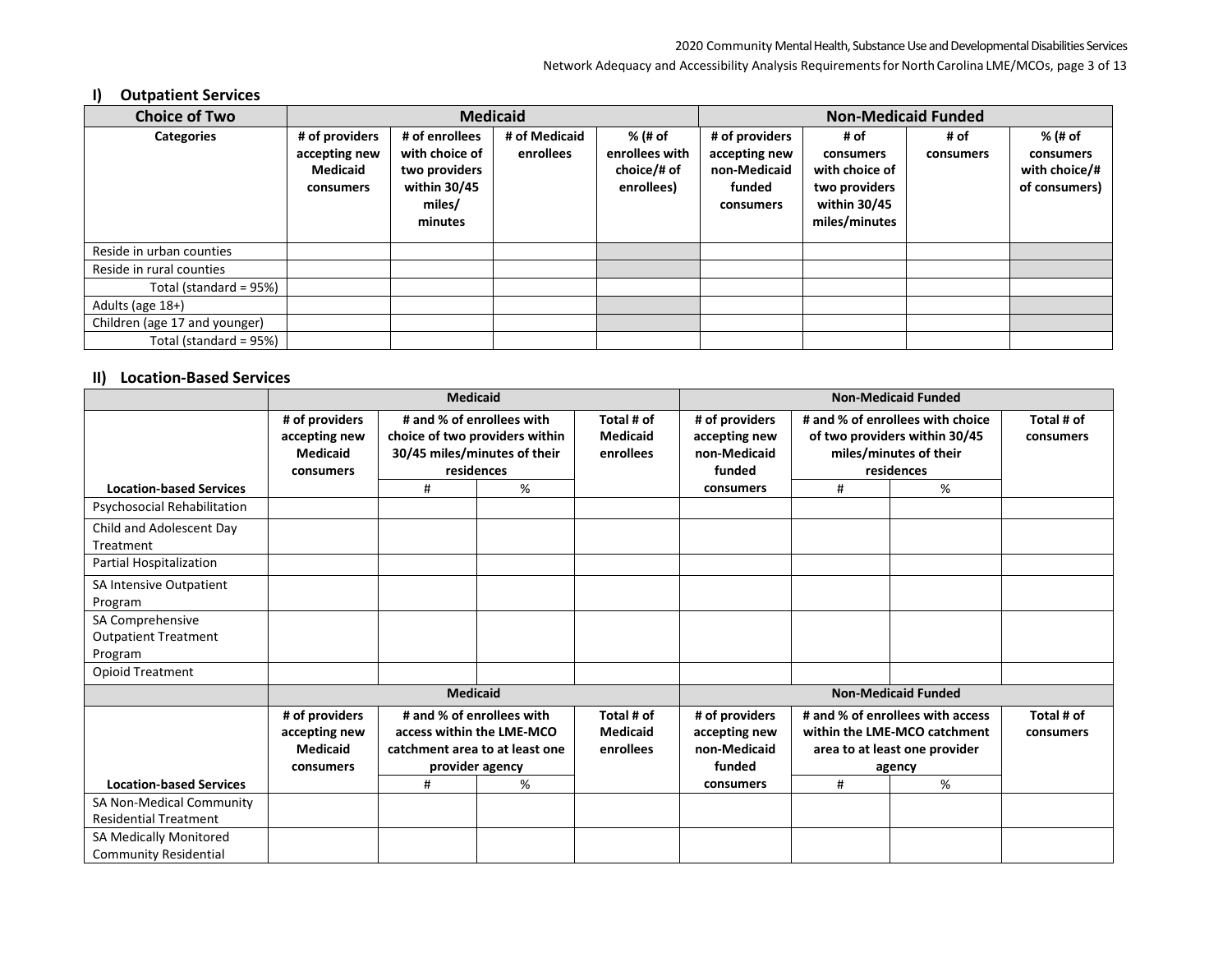#### Network Adequacy and Accessibility Analysis Requirements for North Carolina LME/MCOs, page 3 of 13

# **I) Outpatient Services**

| <b>Choice of Two</b>          |                 |                | <b>Medicaid</b> |                | <b>Non-Medicaid Funded</b> |                |           |               |  |
|-------------------------------|-----------------|----------------|-----------------|----------------|----------------------------|----------------|-----------|---------------|--|
| <b>Categories</b>             | # of providers  | # of enrollees | # of Medicaid   | % (# of        | # of providers             | # of           | # of      | % (# of       |  |
|                               | accepting new   | with choice of | enrollees       | enrollees with | accepting new              | consumers      | consumers | consumers     |  |
|                               | <b>Medicaid</b> | two providers  |                 | choice/# of    | non-Medicaid               | with choice of |           | with choice/# |  |
|                               | consumers       | within 30/45   |                 | enrollees)     | funded                     | two providers  |           | of consumers) |  |
|                               |                 | miles/         |                 |                | consumers                  | within 30/45   |           |               |  |
|                               |                 | minutes        |                 |                |                            | miles/minutes  |           |               |  |
|                               |                 |                |                 |                |                            |                |           |               |  |
| Reside in urban counties      |                 |                |                 |                |                            |                |           |               |  |
| Reside in rural counties      |                 |                |                 |                |                            |                |           |               |  |
| Total (standard = 95%)        |                 |                |                 |                |                            |                |           |               |  |
| Adults (age 18+)              |                 |                |                 |                |                            |                |           |               |  |
| Children (age 17 and younger) |                 |                |                 |                |                            |                |           |               |  |
| Total (standard = 95%)        |                 |                |                 |                |                            |                |           |               |  |

### **II) Location-Based Services**

|                                                          | <b>Medicaid</b>                                                 |                                                                                                             |                                                                                                           |                                            | <b>Non-Medicaid Funded</b>                                |                                                                                                             |                                                                                                           |                         |
|----------------------------------------------------------|-----------------------------------------------------------------|-------------------------------------------------------------------------------------------------------------|-----------------------------------------------------------------------------------------------------------|--------------------------------------------|-----------------------------------------------------------|-------------------------------------------------------------------------------------------------------------|-----------------------------------------------------------------------------------------------------------|-------------------------|
|                                                          | # of providers<br>accepting new<br><b>Medicaid</b><br>consumers |                                                                                                             | # and % of enrollees with<br>choice of two providers within<br>30/45 miles/minutes of their<br>residences | Total # of<br><b>Medicaid</b><br>enrollees | # of providers<br>accepting new<br>non-Medicaid<br>funded |                                                                                                             | # and % of enrollees with choice<br>of two providers within 30/45<br>miles/minutes of their<br>residences | Total # of<br>consumers |
| <b>Location-based Services</b>                           |                                                                 | #                                                                                                           | %                                                                                                         |                                            | consumers                                                 | #                                                                                                           | %                                                                                                         |                         |
| <b>Psychosocial Rehabilitation</b>                       |                                                                 |                                                                                                             |                                                                                                           |                                            |                                                           |                                                                                                             |                                                                                                           |                         |
| Child and Adolescent Day<br>Treatment                    |                                                                 |                                                                                                             |                                                                                                           |                                            |                                                           |                                                                                                             |                                                                                                           |                         |
| Partial Hospitalization                                  |                                                                 |                                                                                                             |                                                                                                           |                                            |                                                           |                                                                                                             |                                                                                                           |                         |
| SA Intensive Outpatient<br>Program                       |                                                                 |                                                                                                             |                                                                                                           |                                            |                                                           |                                                                                                             |                                                                                                           |                         |
| SA Comprehensive                                         |                                                                 |                                                                                                             |                                                                                                           |                                            |                                                           |                                                                                                             |                                                                                                           |                         |
| <b>Outpatient Treatment</b>                              |                                                                 |                                                                                                             |                                                                                                           |                                            |                                                           |                                                                                                             |                                                                                                           |                         |
| Program                                                  |                                                                 |                                                                                                             |                                                                                                           |                                            |                                                           |                                                                                                             |                                                                                                           |                         |
| <b>Opioid Treatment</b>                                  |                                                                 |                                                                                                             |                                                                                                           |                                            |                                                           |                                                                                                             |                                                                                                           |                         |
|                                                          |                                                                 | <b>Medicaid</b>                                                                                             |                                                                                                           |                                            |                                                           |                                                                                                             | <b>Non-Medicaid Funded</b>                                                                                |                         |
|                                                          | # of providers<br>accepting new<br><b>Medicaid</b><br>consumers | # and % of enrollees with<br>access within the LME-MCO<br>catchment area to at least one<br>provider agency |                                                                                                           | Total # of<br><b>Medicaid</b><br>enrollees | # of providers<br>accepting new<br>non-Medicaid<br>funded | # and % of enrollees with access<br>within the LME-MCO catchment<br>area to at least one provider<br>agency |                                                                                                           | Total # of<br>consumers |
| <b>Location-based Services</b>                           |                                                                 | #                                                                                                           | %                                                                                                         |                                            | consumers                                                 | #                                                                                                           | %                                                                                                         |                         |
| SA Non-Medical Community<br><b>Residential Treatment</b> |                                                                 |                                                                                                             |                                                                                                           |                                            |                                                           |                                                                                                             |                                                                                                           |                         |
| SA Medically Monitored                                   |                                                                 |                                                                                                             |                                                                                                           |                                            |                                                           |                                                                                                             |                                                                                                           |                         |
| <b>Community Residential</b>                             |                                                                 |                                                                                                             |                                                                                                           |                                            |                                                           |                                                                                                             |                                                                                                           |                         |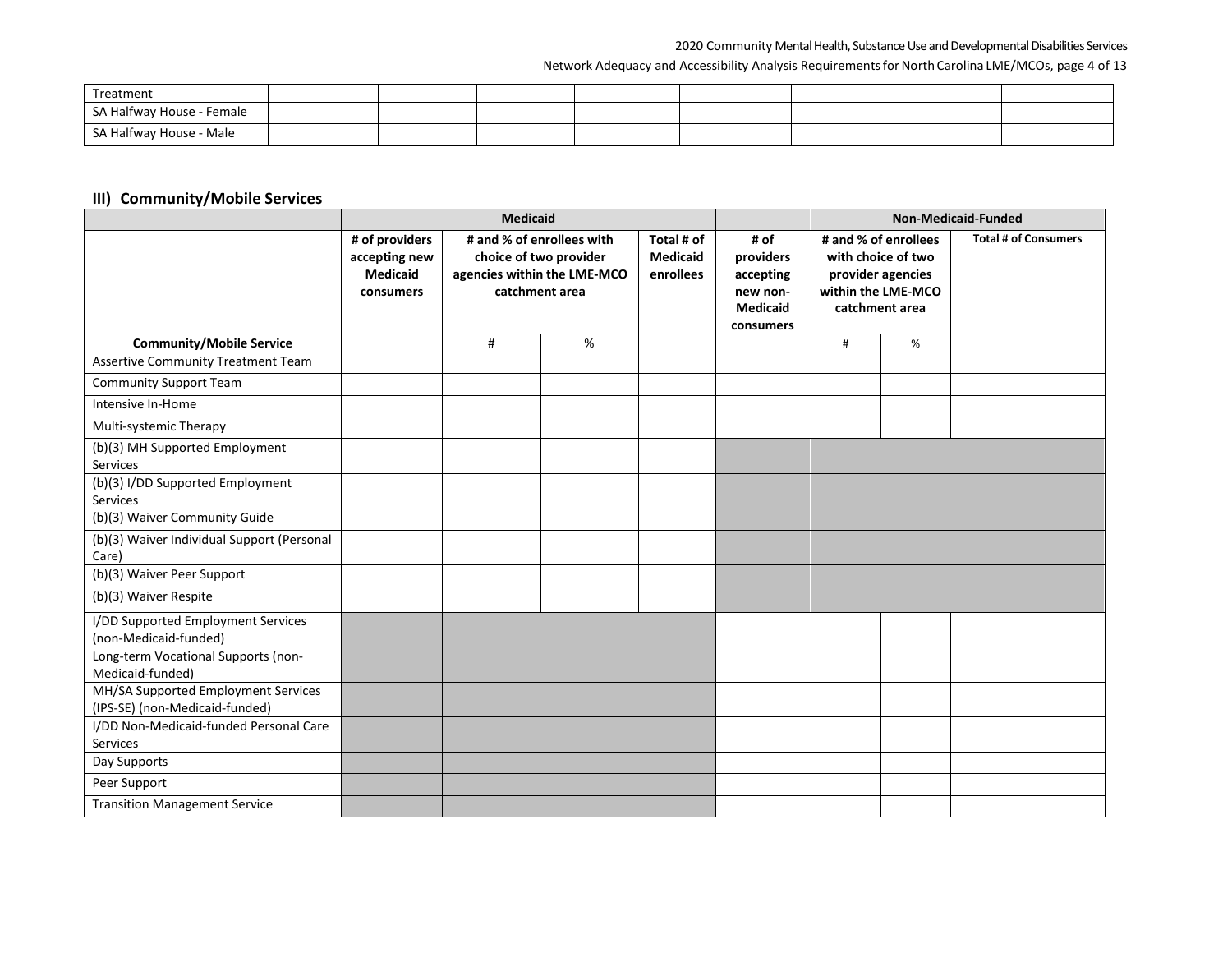#### Network Adequacy and Accessibility Analysis Requirements for North Carolina LME/MCOs, page 4 of 13

| Treatment                 |  |  |  |  |
|---------------------------|--|--|--|--|
| SA Halfway House - Female |  |  |  |  |
| SA Halfway House - Male   |  |  |  |  |

### **III) Community/Mobile Services**

|                                                                       |                                                                 |                                                                                                      |      | Non-Medicaid-Funded                        |                                                                            |                                                                                                         |   |                             |
|-----------------------------------------------------------------------|-----------------------------------------------------------------|------------------------------------------------------------------------------------------------------|------|--------------------------------------------|----------------------------------------------------------------------------|---------------------------------------------------------------------------------------------------------|---|-----------------------------|
|                                                                       | # of providers<br>accepting new<br><b>Medicaid</b><br>consumers | # and % of enrollees with<br>choice of two provider<br>agencies within the LME-MCO<br>catchment area |      | Total # of<br><b>Medicaid</b><br>enrollees | # of<br>providers<br>accepting<br>new non-<br><b>Medicaid</b><br>consumers | # and % of enrollees<br>with choice of two<br>provider agencies<br>within the LME-MCO<br>catchment area |   | <b>Total # of Consumers</b> |
| <b>Community/Mobile Service</b>                                       |                                                                 | #                                                                                                    | $\%$ |                                            |                                                                            | #                                                                                                       | % |                             |
| <b>Assertive Community Treatment Team</b>                             |                                                                 |                                                                                                      |      |                                            |                                                                            |                                                                                                         |   |                             |
| <b>Community Support Team</b>                                         |                                                                 |                                                                                                      |      |                                            |                                                                            |                                                                                                         |   |                             |
| Intensive In-Home                                                     |                                                                 |                                                                                                      |      |                                            |                                                                            |                                                                                                         |   |                             |
| Multi-systemic Therapy                                                |                                                                 |                                                                                                      |      |                                            |                                                                            |                                                                                                         |   |                             |
| (b)(3) MH Supported Employment<br>Services                            |                                                                 |                                                                                                      |      |                                            |                                                                            |                                                                                                         |   |                             |
| (b)(3) I/DD Supported Employment<br>Services                          |                                                                 |                                                                                                      |      |                                            |                                                                            |                                                                                                         |   |                             |
| (b)(3) Waiver Community Guide                                         |                                                                 |                                                                                                      |      |                                            |                                                                            |                                                                                                         |   |                             |
| (b)(3) Waiver Individual Support (Personal<br>Care)                   |                                                                 |                                                                                                      |      |                                            |                                                                            |                                                                                                         |   |                             |
| (b)(3) Waiver Peer Support                                            |                                                                 |                                                                                                      |      |                                            |                                                                            |                                                                                                         |   |                             |
| (b)(3) Waiver Respite                                                 |                                                                 |                                                                                                      |      |                                            |                                                                            |                                                                                                         |   |                             |
| I/DD Supported Employment Services<br>(non-Medicaid-funded)           |                                                                 |                                                                                                      |      |                                            |                                                                            |                                                                                                         |   |                             |
| Long-term Vocational Supports (non-<br>Medicaid-funded)               |                                                                 |                                                                                                      |      |                                            |                                                                            |                                                                                                         |   |                             |
| MH/SA Supported Employment Services<br>(IPS-SE) (non-Medicaid-funded) |                                                                 |                                                                                                      |      |                                            |                                                                            |                                                                                                         |   |                             |
| I/DD Non-Medicaid-funded Personal Care<br>Services                    |                                                                 |                                                                                                      |      |                                            |                                                                            |                                                                                                         |   |                             |
| Day Supports                                                          |                                                                 |                                                                                                      |      |                                            |                                                                            |                                                                                                         |   |                             |
| Peer Support                                                          |                                                                 |                                                                                                      |      |                                            |                                                                            |                                                                                                         |   |                             |
| <b>Transition Management Service</b>                                  |                                                                 |                                                                                                      |      |                                            |                                                                            |                                                                                                         |   |                             |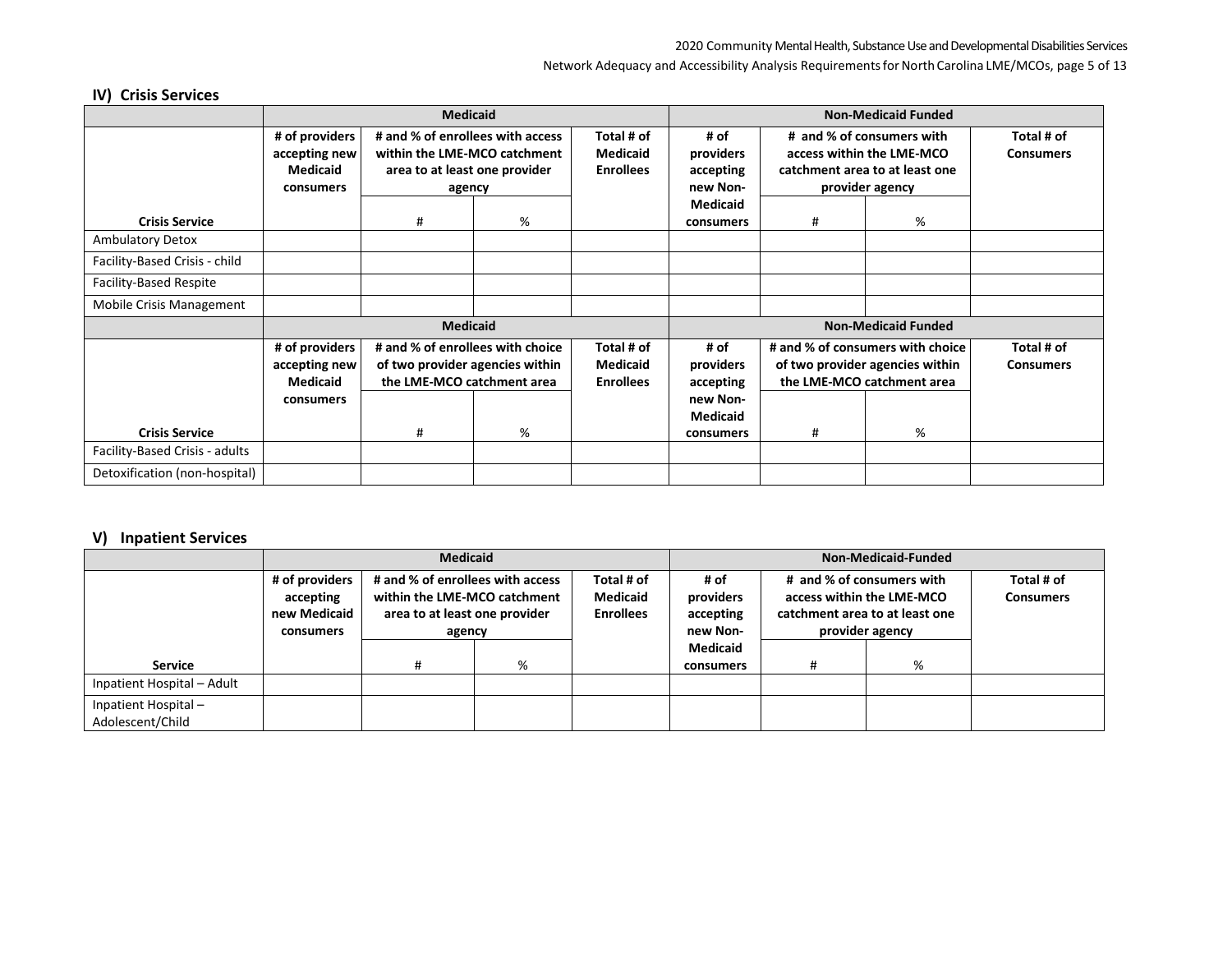#### Network Adequacy and Accessibility Analysis Requirements for North Carolina LME/MCOs, page 5 of 13

# **IV) Crisis Services**

|                                |                 | <b>Medicaid</b>                  |   |                  | <b>Non-Medicaid Funded</b> |                                                        |                                  |                  |
|--------------------------------|-----------------|----------------------------------|---|------------------|----------------------------|--------------------------------------------------------|----------------------------------|------------------|
|                                | # of providers  | # and % of enrollees with access |   | Total # of       | # of                       | # and % of consumers with<br>access within the LME-MCO |                                  | Total # of       |
|                                | accepting new   | within the LME-MCO catchment     |   | <b>Medicaid</b>  | providers                  |                                                        |                                  | <b>Consumers</b> |
|                                | <b>Medicaid</b> | area to at least one provider    |   | <b>Enrollees</b> | accepting                  |                                                        | catchment area to at least one   |                  |
|                                | consumers       | agency                           |   |                  | new Non-                   |                                                        | provider agency                  |                  |
|                                |                 |                                  |   |                  | <b>Medicaid</b>            |                                                        |                                  |                  |
| <b>Crisis Service</b>          |                 | #                                | % |                  | consumers                  | #                                                      | %                                |                  |
| <b>Ambulatory Detox</b>        |                 |                                  |   |                  |                            |                                                        |                                  |                  |
| Facility-Based Crisis - child  |                 |                                  |   |                  |                            |                                                        |                                  |                  |
| <b>Facility-Based Respite</b>  |                 |                                  |   |                  |                            |                                                        |                                  |                  |
| Mobile Crisis Management       |                 |                                  |   |                  |                            |                                                        |                                  |                  |
|                                |                 | <b>Medicaid</b>                  |   |                  |                            |                                                        |                                  |                  |
|                                | # of providers  | # and % of enrollees with choice |   | Total # of       | # of                       |                                                        | # and % of consumers with choice | Total # of       |
|                                | accepting new   | of two provider agencies within  |   | <b>Medicaid</b>  | providers                  |                                                        | of two provider agencies within  | <b>Consumers</b> |
|                                | <b>Medicaid</b> | the LME-MCO catchment area       |   | <b>Enrollees</b> | accepting                  |                                                        | the LME-MCO catchment area       |                  |
|                                | consumers       |                                  |   |                  | new Non-                   |                                                        |                                  |                  |
|                                |                 |                                  |   |                  | <b>Medicaid</b>            |                                                        |                                  |                  |
| <b>Crisis Service</b>          |                 | #                                | % |                  | consumers                  | #                                                      | %                                |                  |
| Facility-Based Crisis - adults |                 |                                  |   |                  |                            |                                                        |                                  |                  |
| Detoxification (non-hospital)  |                 |                                  |   |                  |                            |                                                        |                                  |                  |

### **V) Inpatient Services**

|                                         |                                                          | <b>Medicaid</b>                                                                                             |   |                                            | Non-Medicaid-Funded                        |                                                                                                             |   |                                |
|-----------------------------------------|----------------------------------------------------------|-------------------------------------------------------------------------------------------------------------|---|--------------------------------------------|--------------------------------------------|-------------------------------------------------------------------------------------------------------------|---|--------------------------------|
|                                         | # of providers<br>accepting<br>new Medicaid<br>consumers | # and % of enrollees with access<br>within the LME-MCO catchment<br>area to at least one provider<br>agency |   | Total # of<br>Medicaid<br><b>Enrollees</b> | # of<br>providers<br>accepting<br>new Non- | # and % of consumers with<br>access within the LME-MCO<br>catchment area to at least one<br>provider agency |   | Total # of<br><b>Consumers</b> |
| <b>Service</b>                          |                                                          | #                                                                                                           | % |                                            | <b>Medicaid</b><br>consumers               | #                                                                                                           | % |                                |
| Inpatient Hospital - Adult              |                                                          |                                                                                                             |   |                                            |                                            |                                                                                                             |   |                                |
| Inpatient Hospital-<br>Adolescent/Child |                                                          |                                                                                                             |   |                                            |                                            |                                                                                                             |   |                                |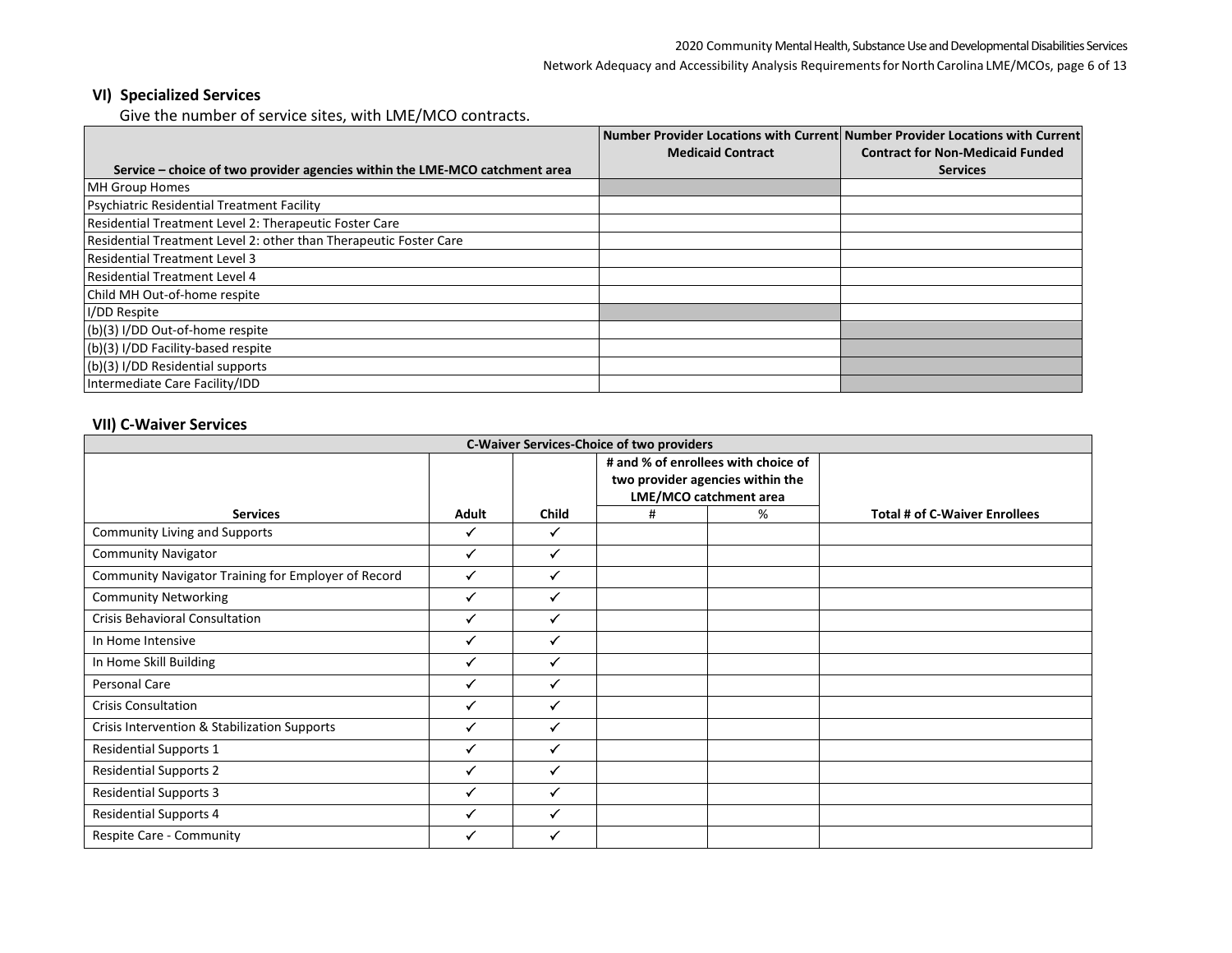Network Adequacy and Accessibility Analysis Requirements for North Carolina LME/MCOs, page 6 of 13

### **VI) Specialized Services**

Give the number of service sites, with LME/MCO contracts.

|                                                                             | <b>Medicaid Contract</b> | Number Provider Locations with Current Number Provider Locations with Current<br><b>Contract for Non-Medicaid Funded</b> |
|-----------------------------------------------------------------------------|--------------------------|--------------------------------------------------------------------------------------------------------------------------|
|                                                                             |                          |                                                                                                                          |
| Service – choice of two provider agencies within the LME-MCO catchment area |                          | <b>Services</b>                                                                                                          |
| <b>MH Group Homes</b>                                                       |                          |                                                                                                                          |
| <b>Psychiatric Residential Treatment Facility</b>                           |                          |                                                                                                                          |
| Residential Treatment Level 2: Therapeutic Foster Care                      |                          |                                                                                                                          |
| Residential Treatment Level 2: other than Therapeutic Foster Care           |                          |                                                                                                                          |
| <b>Residential Treatment Level 3</b>                                        |                          |                                                                                                                          |
| <b>Residential Treatment Level 4</b>                                        |                          |                                                                                                                          |
| Child MH Out-of-home respite                                                |                          |                                                                                                                          |
| I/DD Respite                                                                |                          |                                                                                                                          |
| (b)(3) I/DD Out-of-home respite                                             |                          |                                                                                                                          |
| (b)(3) I/DD Facility-based respite                                          |                          |                                                                                                                          |
| (b)(3) I/DD Residential supports                                            |                          |                                                                                                                          |
| Intermediate Care Facility/IDD                                              |                          |                                                                                                                          |

### **VII) C-Waiver Services**

| <b>C-Waiver Services-Choice of two providers</b>    |              |              |                                                                                                   |   |                                      |  |  |  |  |
|-----------------------------------------------------|--------------|--------------|---------------------------------------------------------------------------------------------------|---|--------------------------------------|--|--|--|--|
|                                                     |              |              | # and % of enrollees with choice of<br>two provider agencies within the<br>LME/MCO catchment area |   |                                      |  |  |  |  |
| <b>Services</b>                                     | <b>Adult</b> | <b>Child</b> | #                                                                                                 | % | <b>Total # of C-Waiver Enrollees</b> |  |  |  |  |
| <b>Community Living and Supports</b>                | ✓            | $\checkmark$ |                                                                                                   |   |                                      |  |  |  |  |
| <b>Community Navigator</b>                          | ✓            | $\checkmark$ |                                                                                                   |   |                                      |  |  |  |  |
| Community Navigator Training for Employer of Record | ✓            | $\checkmark$ |                                                                                                   |   |                                      |  |  |  |  |
| <b>Community Networking</b>                         | ✓            |              |                                                                                                   |   |                                      |  |  |  |  |
| <b>Crisis Behavioral Consultation</b>               | ✓            |              |                                                                                                   |   |                                      |  |  |  |  |
| In Home Intensive                                   | ✓            |              |                                                                                                   |   |                                      |  |  |  |  |
| In Home Skill Building                              | ✓            |              |                                                                                                   |   |                                      |  |  |  |  |
| Personal Care                                       | ✓            |              |                                                                                                   |   |                                      |  |  |  |  |
| <b>Crisis Consultation</b>                          | ✓            |              |                                                                                                   |   |                                      |  |  |  |  |
| Crisis Intervention & Stabilization Supports        | ✓            |              |                                                                                                   |   |                                      |  |  |  |  |
| <b>Residential Supports 1</b>                       | ✓            |              |                                                                                                   |   |                                      |  |  |  |  |
| <b>Residential Supports 2</b>                       | ✓            |              |                                                                                                   |   |                                      |  |  |  |  |
| <b>Residential Supports 3</b>                       | ✓            |              |                                                                                                   |   |                                      |  |  |  |  |
| <b>Residential Supports 4</b>                       | $\checkmark$ |              |                                                                                                   |   |                                      |  |  |  |  |
| <b>Respite Care - Community</b>                     | ✓            |              |                                                                                                   |   |                                      |  |  |  |  |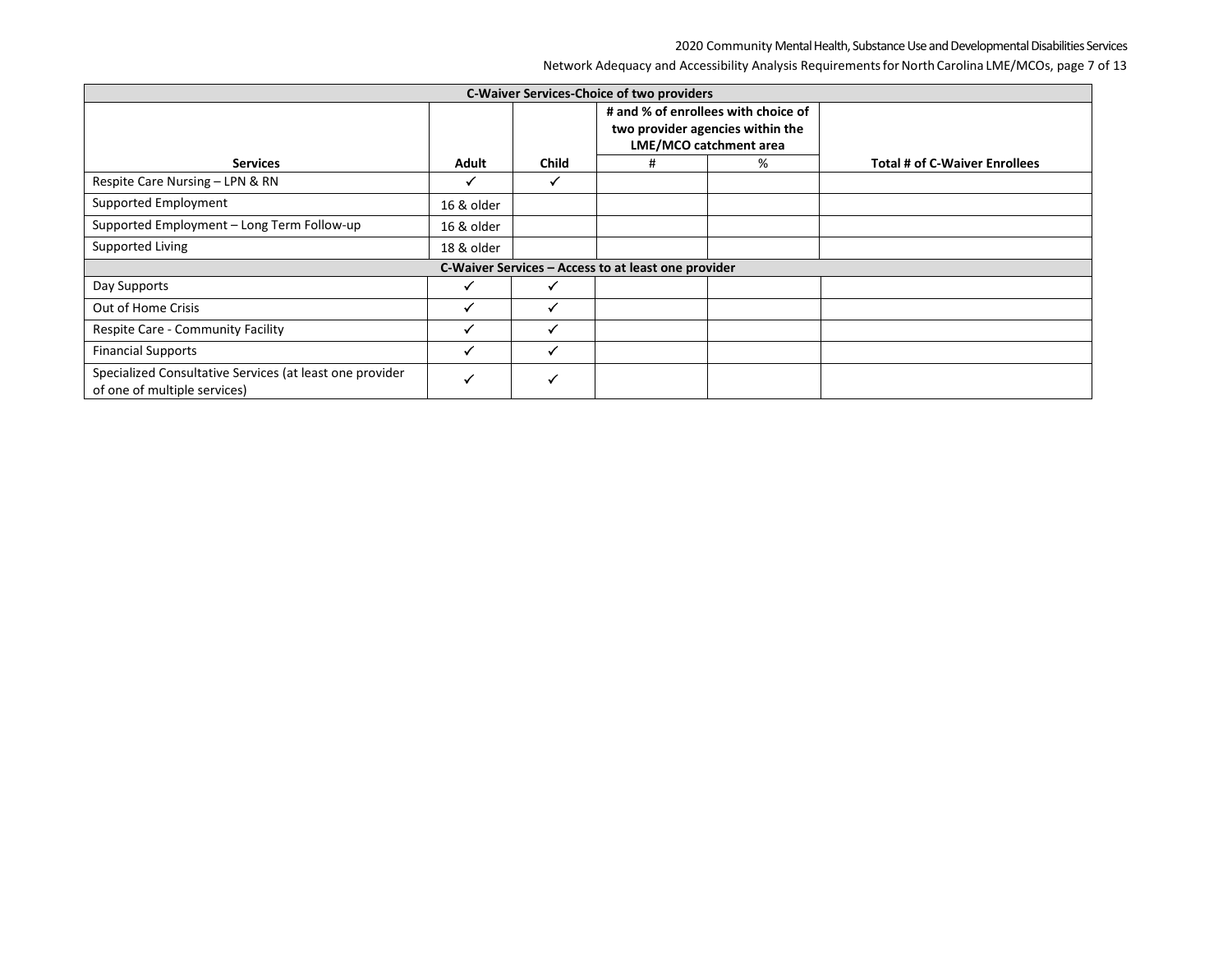Network Adequacy and Accessibility Analysis Requirements for North Carolina LME/MCOs, page 7 of 13

| <b>C-Waiver Services-Choice of two providers</b>                                         |              |              |                                                                                                   |   |                                      |  |  |  |  |
|------------------------------------------------------------------------------------------|--------------|--------------|---------------------------------------------------------------------------------------------------|---|--------------------------------------|--|--|--|--|
|                                                                                          |              |              | # and % of enrollees with choice of<br>two provider agencies within the<br>LME/MCO catchment area |   |                                      |  |  |  |  |
| <b>Services</b>                                                                          | Adult        | <b>Child</b> | #                                                                                                 | % | <b>Total # of C-Waiver Enrollees</b> |  |  |  |  |
| Respite Care Nursing - LPN & RN                                                          | ✔            |              |                                                                                                   |   |                                      |  |  |  |  |
| Supported Employment                                                                     | 16 & older   |              |                                                                                                   |   |                                      |  |  |  |  |
| Supported Employment - Long Term Follow-up                                               | 16 & older   |              |                                                                                                   |   |                                      |  |  |  |  |
| Supported Living                                                                         | 18 & older   |              |                                                                                                   |   |                                      |  |  |  |  |
|                                                                                          |              |              | C-Waiver Services - Access to at least one provider                                               |   |                                      |  |  |  |  |
| Day Supports                                                                             | $\checkmark$ |              |                                                                                                   |   |                                      |  |  |  |  |
| Out of Home Crisis                                                                       | $\checkmark$ |              |                                                                                                   |   |                                      |  |  |  |  |
| Respite Care - Community Facility                                                        | √            | $\checkmark$ |                                                                                                   |   |                                      |  |  |  |  |
| <b>Financial Supports</b>                                                                |              |              |                                                                                                   |   |                                      |  |  |  |  |
| Specialized Consultative Services (at least one provider<br>of one of multiple services) | $\checkmark$ | $\checkmark$ |                                                                                                   |   |                                      |  |  |  |  |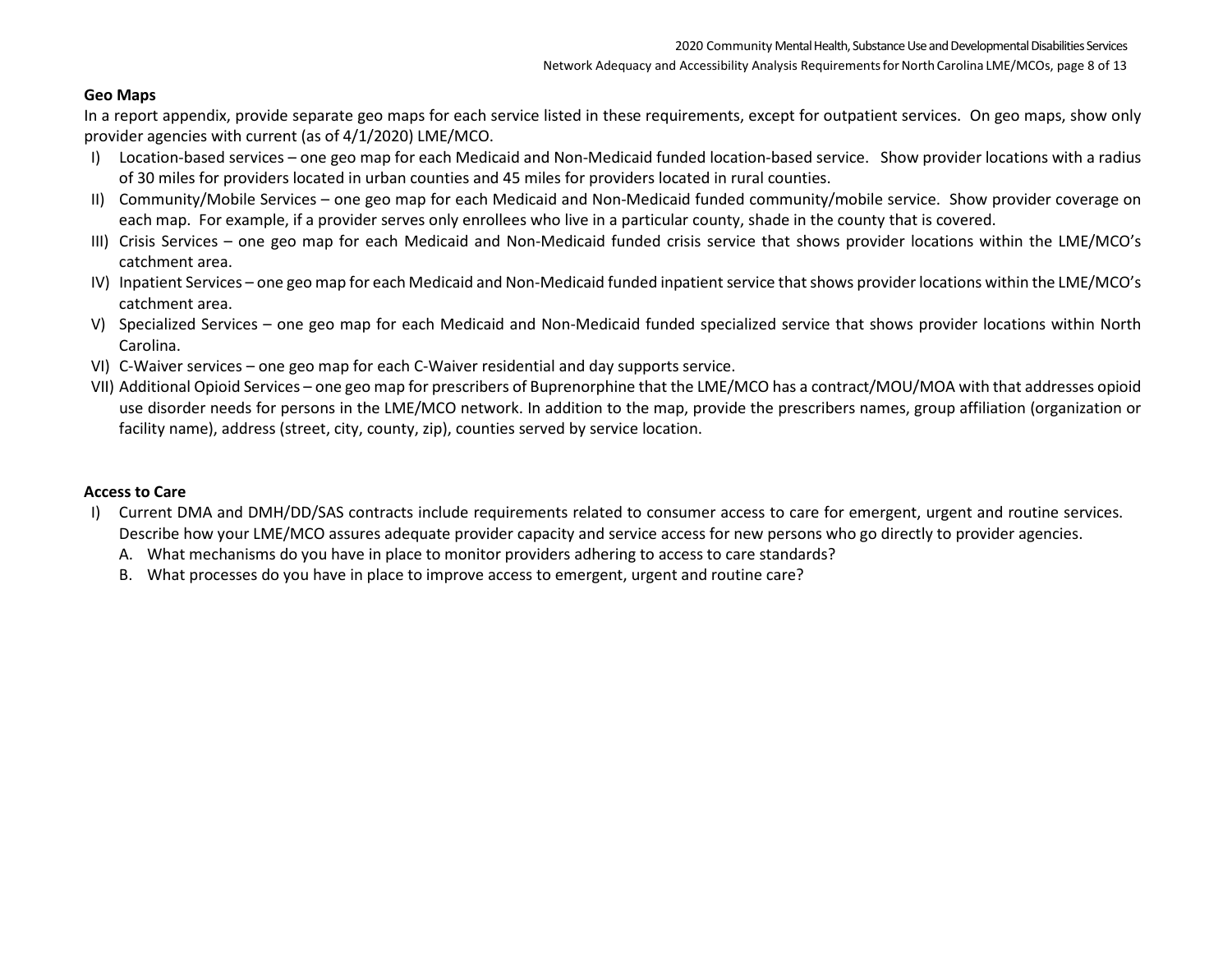### **Geo Maps**

In a report appendix, provide separate geo maps for each service listed in these requirements, except for outpatient services. On geo maps, show only provider agencies with current (as of 4/1/2020) LME/MCO.

- I) Location-based services one geo map for each Medicaid and Non-Medicaid funded location-based service. Show provider locations with a radius of 30 miles for providers located in urban counties and 45 miles for providers located in rural counties.
- II) Community/Mobile Services one geo map for each Medicaid and Non-Medicaid funded community/mobile service. Show provider coverage on each map. For example, if a provider serves only enrollees who live in a particular county, shade in the county that is covered.
- III) Crisis Services one geo map for each Medicaid and Non-Medicaid funded crisis service that shows provider locations within the LME/MCO's catchment area.
- IV) Inpatient Services one geo map for each Medicaid and Non-Medicaid funded inpatient service that shows provider locations within the LME/MCO's catchment area.
- V) Specialized Services one geo map for each Medicaid and Non-Medicaid funded specialized service that shows provider locations within North Carolina.
- VI) C-Waiver services one geo map for each C-Waiver residential and day supports service.
- VII) Additional Opioid Services one geo map for prescribers of Buprenorphine that the LME/MCO has a contract/MOU/MOA with that addresses opioid use disorder needs for persons in the LME/MCO network. In addition to the map, provide the prescribers names, group affiliation (organization or facility name), address (street, city, county, zip), counties served by service location.

## **Access to Care**

- I) Current DMA and DMH/DD/SAS contracts include requirements related to consumer access to care for emergent, urgent and routine services. Describe how your LME/MCO assures adequate provider capacity and service access for new persons who go directly to provider agencies.
	- A. What mechanisms do you have in place to monitor providers adhering to access to care standards?
	- B. What processes do you have in place to improve access to emergent, urgent and routine care?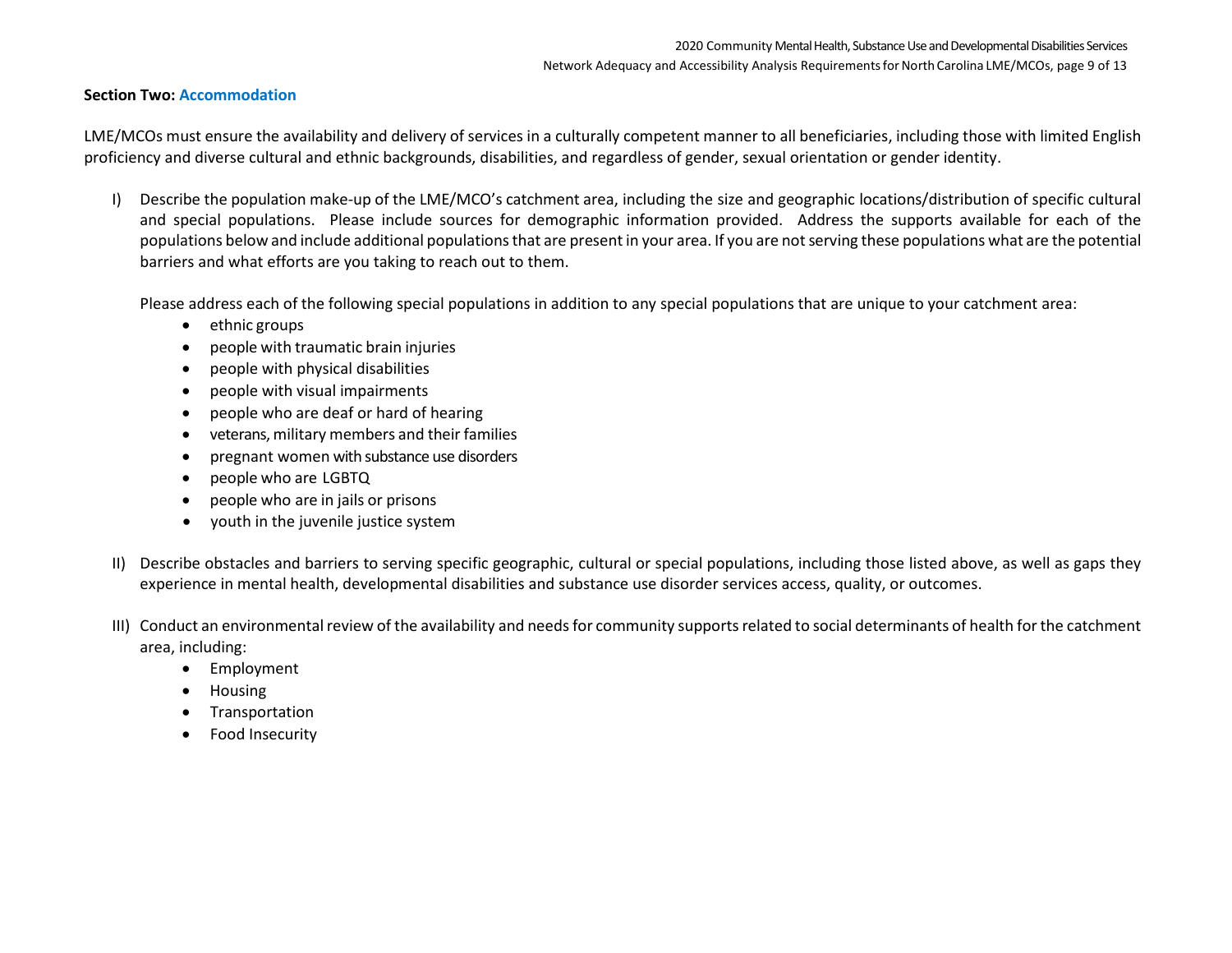#### **Section Two: Accommodation**

LME/MCOs must ensure the availability and delivery of services in a culturally competent manner to all beneficiaries, including those with limited English proficiency and diverse cultural and ethnic backgrounds, disabilities, and regardless of gender, sexual orientation or gender identity.

I) Describe the population make-up of the LME/MCO's catchment area, including the size and geographic locations/distribution of specific cultural and special populations. Please include sources for demographic information provided. Address the supports available for each of the populations below and include additional populations that are present in your area. If you are not serving these populations what are the potential barriers and what efforts are you taking to reach out to them.

Please address each of the following special populations in addition to any special populations that are unique to your catchment area:

- ethnic groups
- people with traumatic brain injuries
- people with physical disabilities
- people with visual impairments
- people who are deaf or hard of hearing
- veterans, military members and their families
- pregnant women with substance use disorders
- people who are LGBTQ
- people who are in jails or prisons
- youth in the juvenile justice system
- II) Describe obstacles and barriers to serving specific geographic, cultural or special populations, including those listed above, as well as gaps they experience in mental health, developmental disabilities and substance use disorder services access, quality, or outcomes.
- III) Conduct an environmental review of the availability and needs for community supports related to social determinants of health for the catchment area, including:
	- Employment
	- Housing
	- **Transportation**
	- Food Insecurity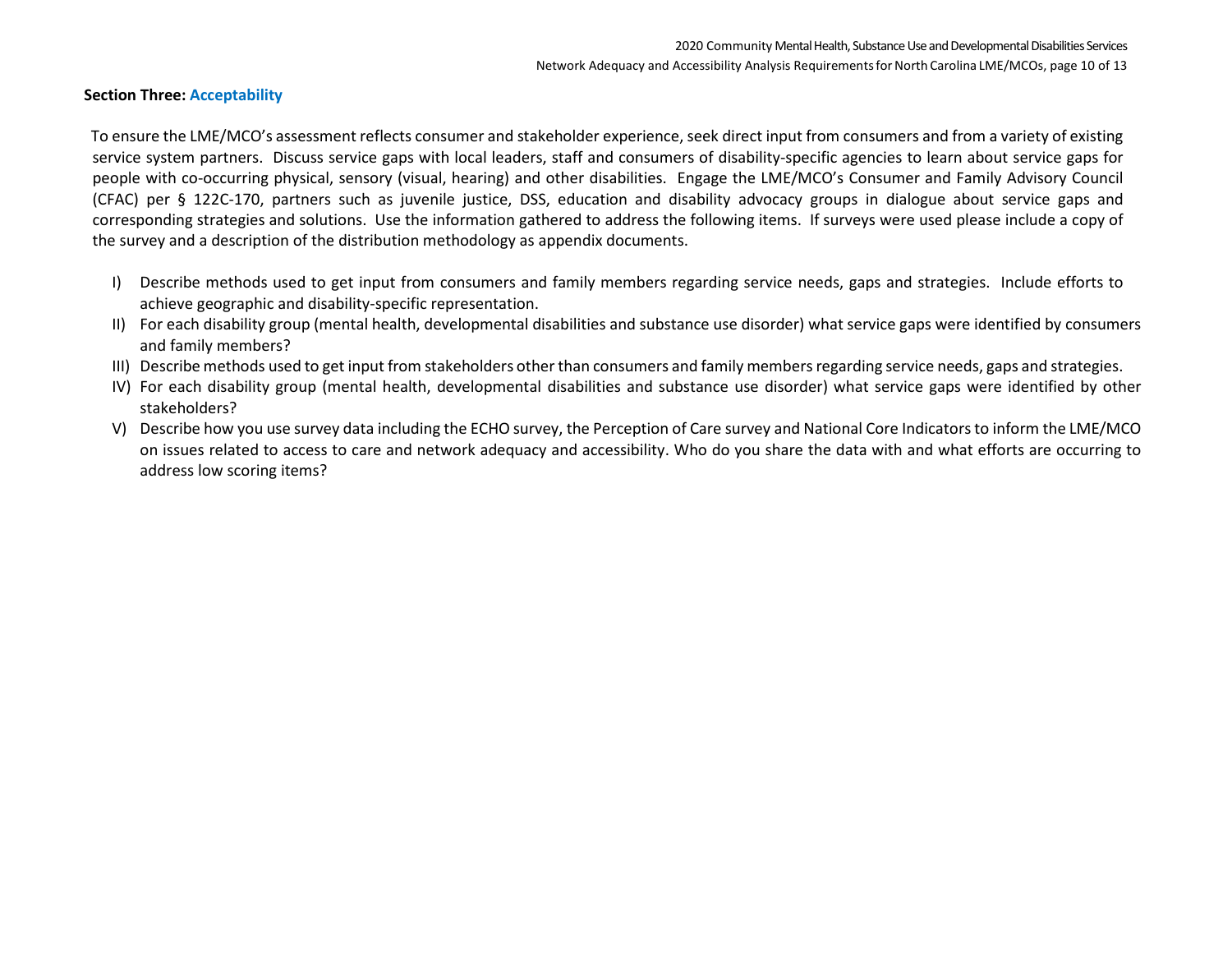#### **Section Three: Acceptability**

To ensure the LME/MCO's assessment reflects consumer and stakeholder experience, seek direct input from consumers and from a variety of existing service system partners. Discuss service gaps with local leaders, staff and consumers of disability-specific agencies to learn about service gaps for people with co-occurring physical, sensory (visual, hearing) and other disabilities. Engage the LME/MCO's Consumer and Family Advisory Council (CFAC) per § 122C-170, partners such as juvenile justice, DSS, education and disability advocacy groups in dialogue about service gaps and corresponding strategies and solutions. Use the information gathered to address the following items. If surveys were used please include a copy of the survey and a description of the distribution methodology as appendix documents.

- I) Describe methods used to get input from consumers and family members regarding service needs, gaps and strategies. Include efforts to achieve geographic and disability-specific representation.
- II) For each disability group (mental health, developmental disabilities and substance use disorder) what service gaps were identified by consumers and family members?
- III) Describe methods used to get input from stakeholders other than consumers and family members regarding service needs, gaps and strategies.
- IV) For each disability group (mental health, developmental disabilities and substance use disorder) what service gaps were identified by other stakeholders?
- V) Describe how you use survey data including the ECHO survey, the Perception of Care survey and National Core Indicators to inform the LME/MCO on issues related to access to care and network adequacy and accessibility. Who do you share the data with and what efforts are occurring to address low scoring items?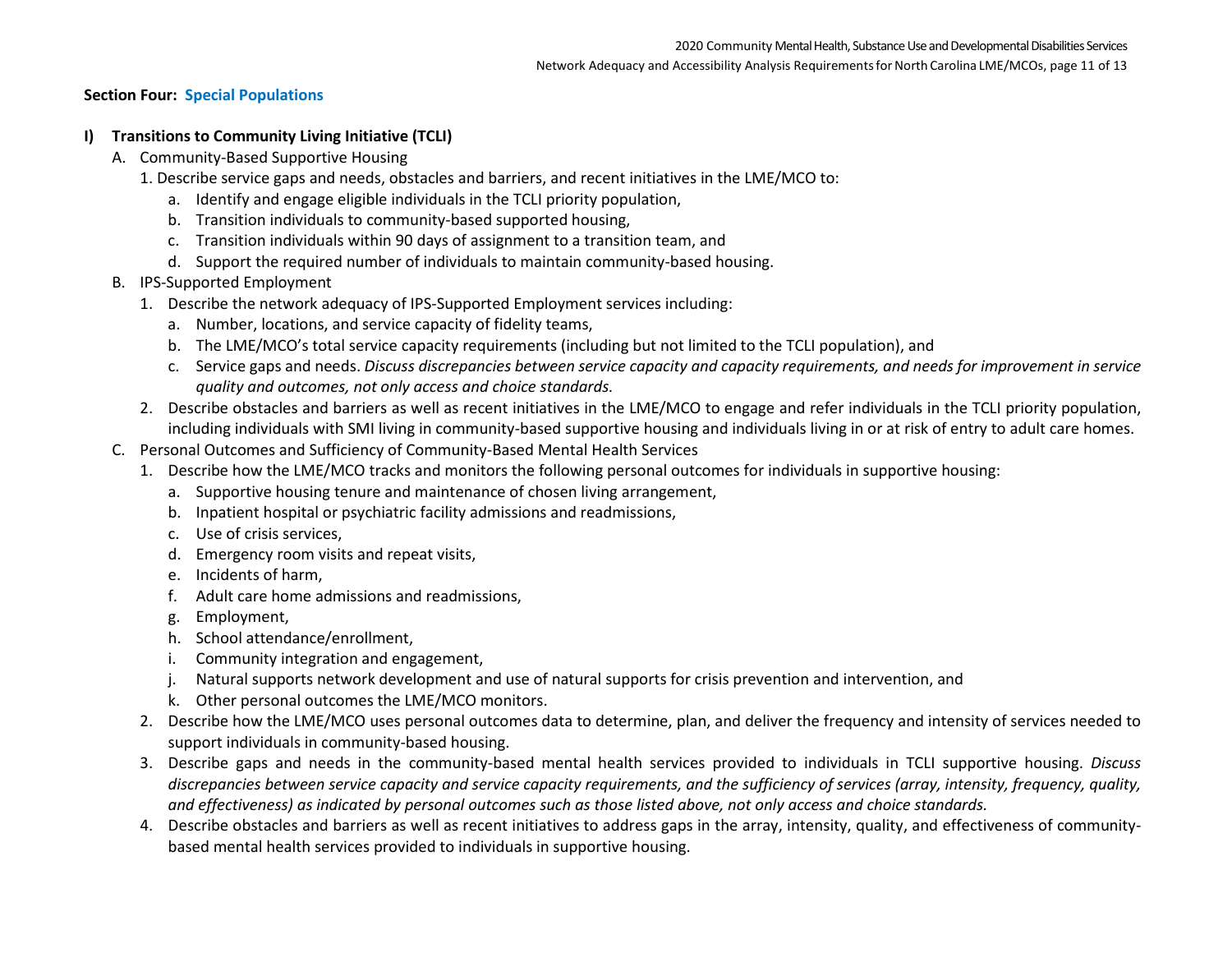### **Section Four: Special Populations**

### **I) Transitions to Community Living Initiative (TCLI)**

- A. Community-Based Supportive Housing
	- 1. Describe service gaps and needs, obstacles and barriers, and recent initiatives in the LME/MCO to:
		- a. Identify and engage eligible individuals in the TCLI priority population,
		- b. Transition individuals to community-based supported housing,
		- c. Transition individuals within 90 days of assignment to a transition team, and
		- d. Support the required number of individuals to maintain community-based housing.
- B. IPS-Supported Employment
	- 1. Describe the network adequacy of IPS-Supported Employment services including:
		- a. Number, locations, and service capacity of fidelity teams,
		- b. The LME/MCO's total service capacity requirements (including but not limited to the TCLI population), and
		- c. Service gaps and needs. *Discuss discrepancies between service capacity and capacity requirements, and needs for improvement in service quality and outcomes, not only access and choice standards.*
	- 2. Describe obstacles and barriers as well as recent initiatives in the LME/MCO to engage and refer individuals in the TCLI priority population, including individuals with SMI living in community-based supportive housing and individuals living in or at risk of entry to adult care homes.
- C. Personal Outcomes and Sufficiency of Community-Based Mental Health Services
	- 1. Describe how the LME/MCO tracks and monitors the following personal outcomes for individuals in supportive housing:
		- a. Supportive housing tenure and maintenance of chosen living arrangement,
		- b. Inpatient hospital or psychiatric facility admissions and readmissions,
		- c. Use of crisis services,
		- d. Emergency room visits and repeat visits,
		- e. Incidents of harm,
		- f. Adult care home admissions and readmissions,
		- g. Employment,
		- h. School attendance/enrollment,
		- i. Community integration and engagement,
		- j. Natural supports network development and use of natural supports for crisis prevention and intervention, and
		- k. Other personal outcomes the LME/MCO monitors.
	- 2. Describe how the LME/MCO uses personal outcomes data to determine, plan, and deliver the frequency and intensity of services needed to support individuals in community-based housing.
	- 3. Describe gaps and needs in the community-based mental health services provided to individuals in TCLI supportive housing. *Discuss discrepancies between service capacity and service capacity requirements, and the sufficiency of services (array, intensity, frequency, quality, and effectiveness) as indicated by personal outcomes such as those listed above, not only access and choice standards.*
	- 4. Describe obstacles and barriers as well as recent initiatives to address gaps in the array, intensity, quality, and effectiveness of communitybased mental health services provided to individuals in supportive housing.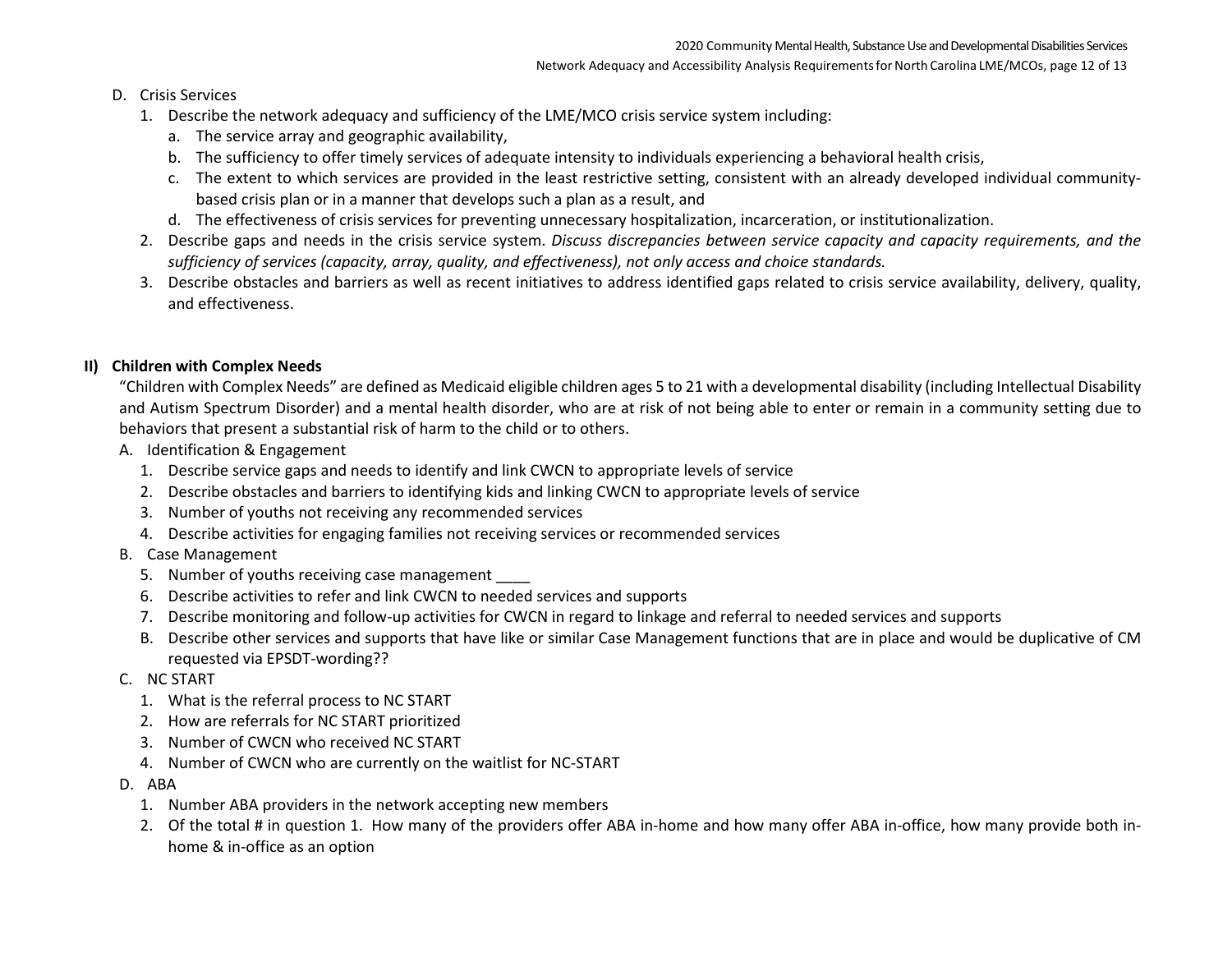### D. Crisis Services

- 1. Describe the network adequacy and sufficiency of the LME/MCO crisis service system including:
	- a. The service array and geographic availability,
	- b. The sufficiency to offer timely services of adequate intensity to individuals experiencing a behavioral health crisis,
	- c. The extent to which services are provided in the least restrictive setting, consistent with an already developed individual communitybased crisis plan or in a manner that develops such a plan as a result, and
	- d. The effectiveness of crisis services for preventing unnecessary hospitalization, incarceration, or institutionalization.
- 2. Describe gaps and needs in the crisis service system. *Discuss discrepancies between service capacity and capacity requirements, and the sufficiency of services (capacity, array, quality, and effectiveness), not only access and choice standards.*
- 3. Describe obstacles and barriers as well as recent initiatives to address identified gaps related to crisis service availability, delivery, quality, and effectiveness.

# **II) Children with Complex Needs**

"Children with Complex Needs" are defined as Medicaid eligible children ages 5 to 21 with a developmental disability (including Intellectual Disability and Autism Spectrum Disorder) and a mental health disorder, who are at risk of not being able to enter or remain in a community setting due to behaviors that present a substantial risk of harm to the child or to others.

- A. Identification & Engagement
	- 1. Describe service gaps and needs to identify and link CWCN to appropriate levels of service
	- 2. Describe obstacles and barriers to identifying kids and linking CWCN to appropriate levels of service
	- 3. Number of youths not receiving any recommended services
	- 4. Describe activities for engaging families not receiving services or recommended services
- B. Case Management
	- 5. Number of youths receiving case management
	- 6. Describe activities to refer and link CWCN to needed services and supports
	- 7. Describe monitoring and follow-up activities for CWCN in regard to linkage and referral to needed services and supports
	- B. Describe other services and supports that have like or similar Case Management functions that are in place and would be duplicative of CM requested via EPSDT-wording??
- C. NC START
	- 1. What is the referral process to NC START
	- 2. How are referrals for NC START prioritized
	- 3. Number of CWCN who received NC START
	- 4. Number of CWCN who are currently on the waitlist for NC-START
- D. ABA
	- 1. Number ABA providers in the network accepting new members
	- 2. Of the total # in question 1. How many of the providers offer ABA in-home and how many offer ABA in-office, how many provide both inhome & in-office as an option